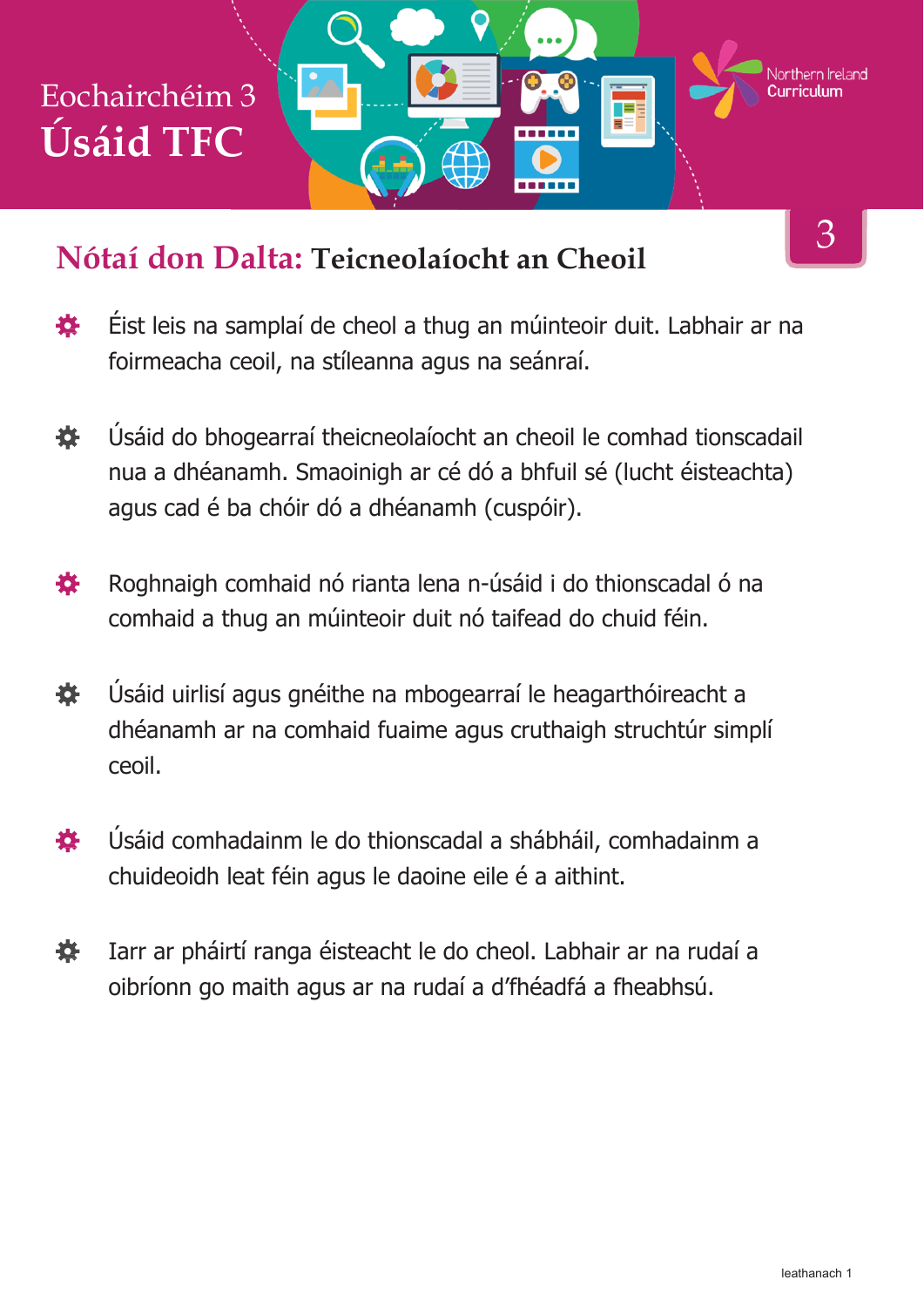#### **Nótaí don Dalta: Teicneolaíocht an Cheoil**

- Éist leis na samplaí de cheol a thug an múinteoir duit. Labhair ar na 養 foirmeacha ceoil, na stíleanna agus na seánraí.
- 養 Úsáid do bhogearraí theicneolaíocht an cheoil le comhad tionscadail nua a dhéanamh. Smaoinigh ar cé dó a bhfuil sé (lucht éisteachta) agus cad é ba chóir dó a dhéanamh (cuspóir).
- Roghnaigh comhaid nó rianta lena n-úsáid i do thionscadal ó na 娄 comhaid a thug an múinteoir duit nó taifead do chuid féin.
- Úsáid uirlisí agus gnéithe na mbogearraí le heagarthóireacht a 養 dhéanamh ar na comhaid fuaime agus cruthaigh struchtúr simplí ceoil.
- Úsáid comhadainm le do thionscadal a shábháil, comhadainm a 苍 chuideoidh leat féin agus le daoine eile é a aithint.
- Iarr ar pháirtí ranga éisteacht le do cheol. Labhair ar na rudaí a 娄 oibríonn go maith agus ar na rudaí a d'fhéadfá a fheabhsú.

3

Northern **Ir**eland

TE 3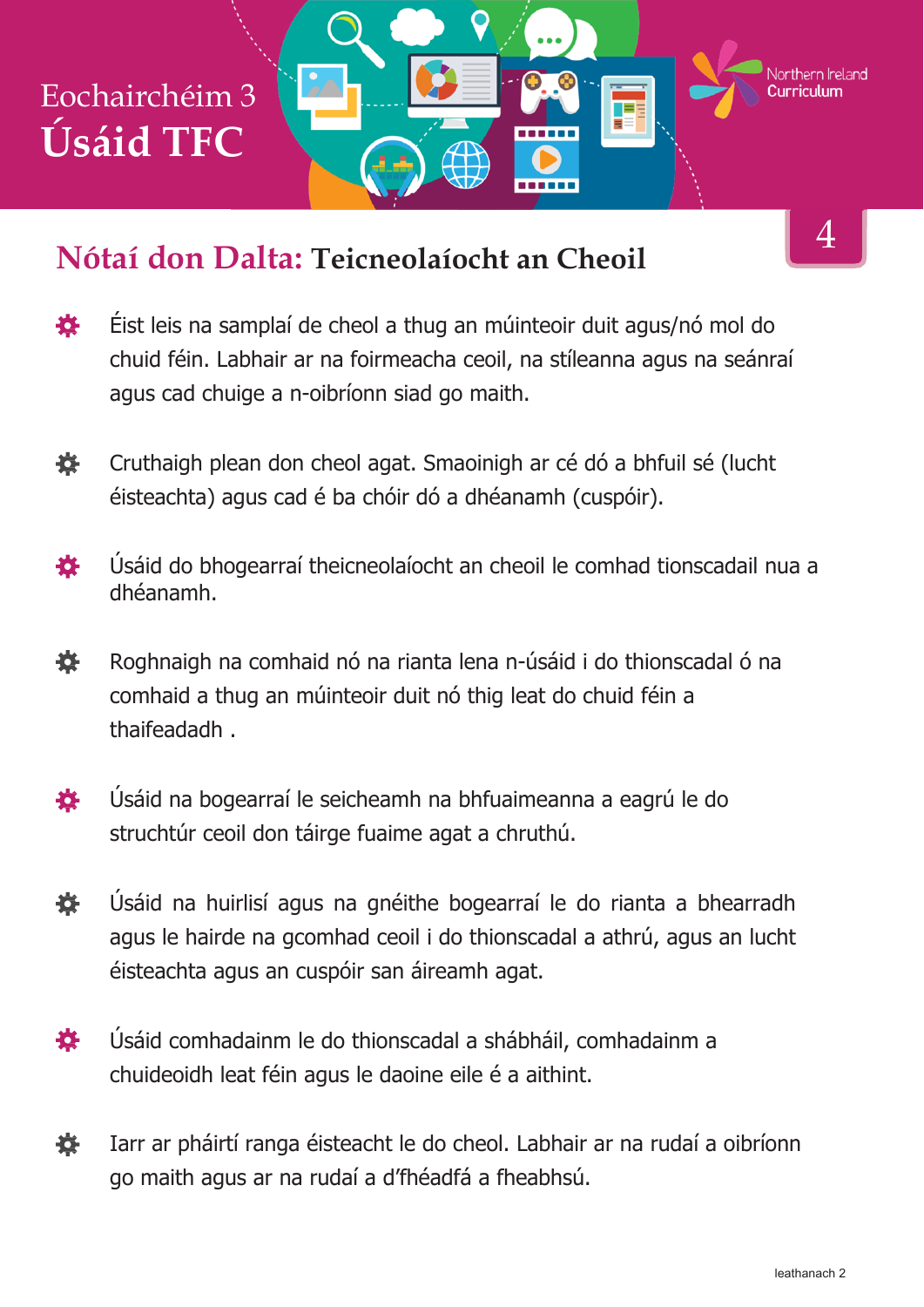#### **Nótaí don Dalta: Teicneolaíocht an Cheoil**

- 寮 Éist leis na samplaí de cheol a thug an múinteoir duit agus/nó mol do chuid féin. Labhair ar na foirmeacha ceoil, na stíleanna agus na seánraí agus cad chuige a n-oibríonn siad go maith.
- 養 Cruthaigh plean don cheol agat. Smaoinigh ar cé dó a bhfuil sé (lucht éisteachta) agus cad é ba chóir dó a dhéanamh (cuspóir).
- Úsáid do bhogearraí theicneolaíocht an cheoil le comhad tionscadail nua a 各 dhéanamh.
- 養 Roghnaigh na comhaid nó na rianta lena n-úsáid i do thionscadal ó na comhaid a thug an múinteoir duit nó thig leat do chuid féin a thaifeadadh .
- 養 Úsáid na bogearraí le seicheamh na bhfuaimeanna a eagrú le do struchtúr ceoil don táirge fuaime agat a chruthú.
- 春 Úsáid na huirlisí agus na gnéithe bogearraí le do rianta a bhearradh agus le hairde na gcomhad ceoil i do thionscadal a athrú, agus an lucht éisteachta agus an cuspóir san áireamh agat.
- 娄 Úsáid comhadainm le do thionscadal a shábháil, comhadainm a chuideoidh leat féin agus le daoine eile é a aithint.
- Iarr ar pháirtí ranga éisteacht le do cheol. Labhair ar na rudaí a oibríonn 娄 go maith agus ar na rudaí a d'fhéadfá a fheabhsú.

4

Northern Ireland

Œ

------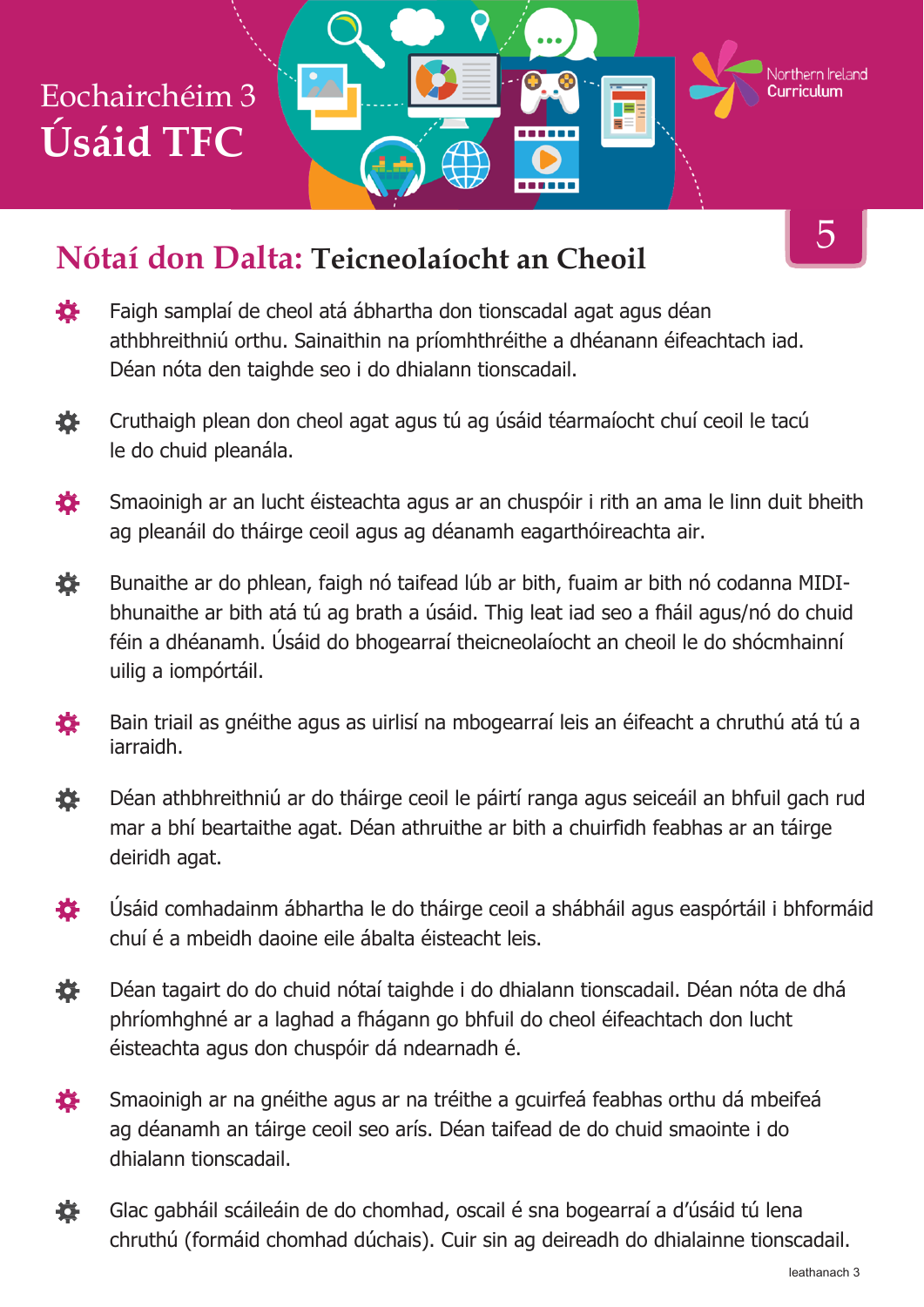#### **Nótaí don Dalta: Teicneolaíocht an Cheoil**

5

Northern Ireland

Æ

------

- 登 Faigh samplaí de cheol atá ábhartha don tionscadal agat agus déan athbhreithniú orthu. Sainaithin na príomhthréithe a dhéanann éifeachtach iad. Déan nóta den taighde seo i do dhialann tionscadail.
- Cruthaigh plean don cheol agat agus tú ag úsáid téarmaíocht chuí ceoil le tacú 娄 le do chuid pleanála.
- 寮 Smaoinigh ar an lucht éisteachta agus ar an chuspóir i rith an ama le linn duit bheith ag pleanáil do tháirge ceoil agus ag déanamh eagarthóireachta air.
- 娄 Bunaithe ar do phlean, faigh nó taifead lúb ar bith, fuaim ar bith nó codanna MIDIbhunaithe ar bith atá tú ag brath a úsáid. Thig leat iad seo a fháil agus/nó do chuid féin a dhéanamh. Úsáid do bhogearraí theicneolaíocht an cheoil le do shócmhainní uilig a iompórtáil.
- Bain triail as gnéithe agus as uirlisí na mbogearraí leis an éifeacht a chruthú atá tú a 養 iarraidh.
- Déan athbhreithniú ar do tháirge ceoil le páirtí ranga agus seiceáil an bhfuil gach rud 養 mar a bhí beartaithe agat. Déan athruithe ar bith a chuirfidh feabhas ar an táirge deiridh agat.
- 養 Úsáid comhadainm ábhartha le do tháirge ceoil a shábháil agus easpórtáil i bhformáid chuí é a mbeidh daoine eile ábalta éisteacht leis.
- 寮 Déan tagairt do do chuid nótaí taighde i do dhialann tionscadail. Déan nóta de dhá phríomhghné ar a laghad a fhágann go bhfuil do cheol éifeachtach don lucht éisteachta agus don chuspóir dá ndearnadh é.
- 養 Smaoinigh ar na gnéithe agus ar na tréithe a gcuirfeá feabhas orthu dá mbeifeá ag déanamh an táirge ceoil seo arís. Déan taifead de do chuid smaointe i do dhialann tionscadail.
- 券 Glac gabháil scáileáin de do chomhad, oscail é sna bogearraí a d'úsáid tú lena chruthú (formáid chomhad dúchais). Cuir sin ag deireadh do dhialainne tionscadail.